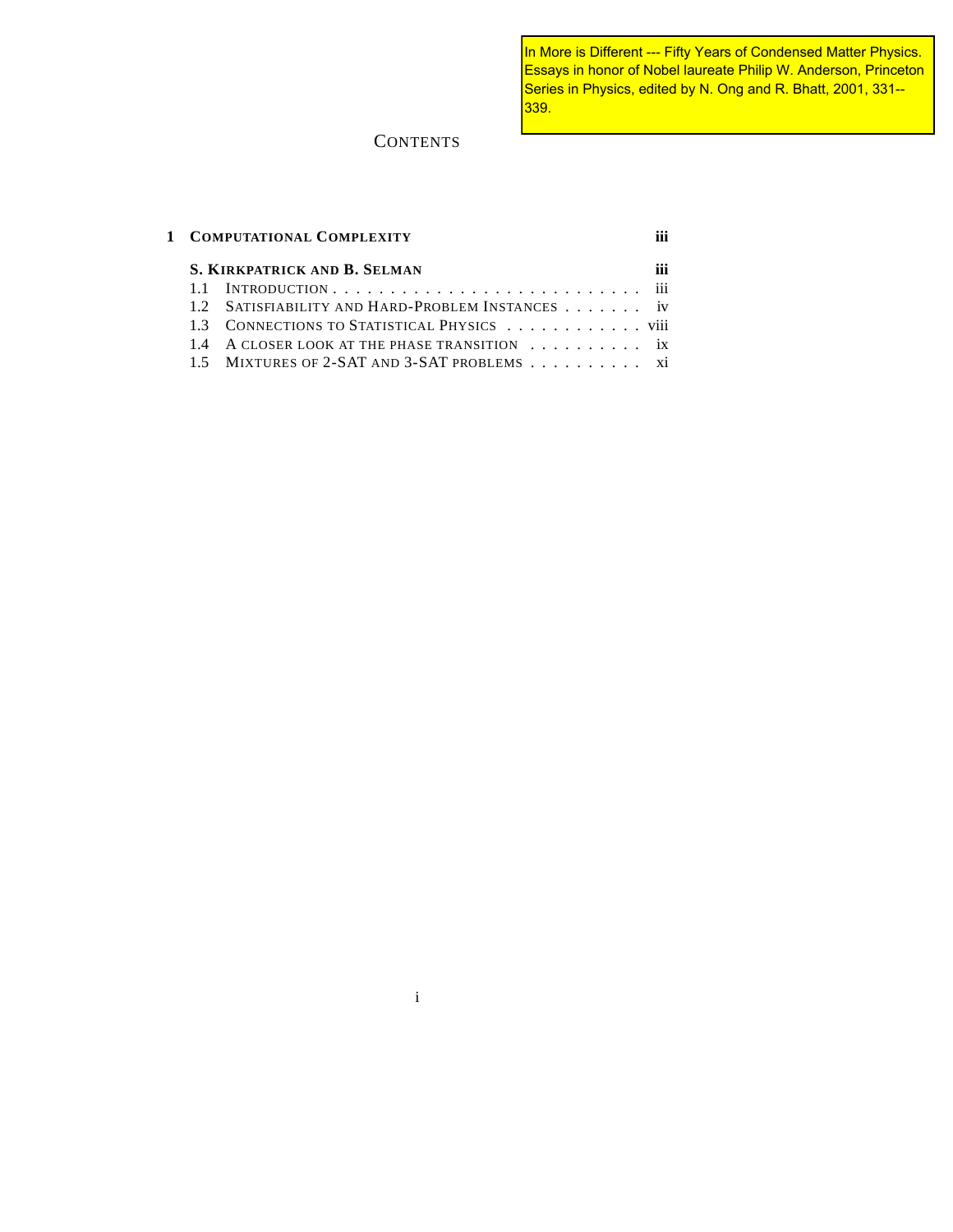In More is Different --- Fifty Years of Condensed Matter Physics. Essays in honor of Nobel laureate Philip W. Anderson, Princeton Series in Physics, edited by N. Ong and R. Bhatt, 2001, 331-- 339.

# **CONTENTS**

|  | 1 COMPUTATIONAL COMPLEXITY                       |     |
|--|--------------------------------------------------|-----|
|  | S. KIRKPATRICK AND B. SELMAN                     | iii |
|  |                                                  |     |
|  | 1.2 SATISFIABILITY AND HARD-PROBLEM INSTANCES iv |     |
|  | 1.3 CONNECTIONS TO STATISTICAL PHYSICS viii      |     |
|  | 1.4 A CLOSER LOOK AT THE PHASE TRANSITION ix     |     |
|  | 1.5 MIXTURES OF 2-SAT AND 3-SAT PROBLEMS xi      |     |
|  |                                                  |     |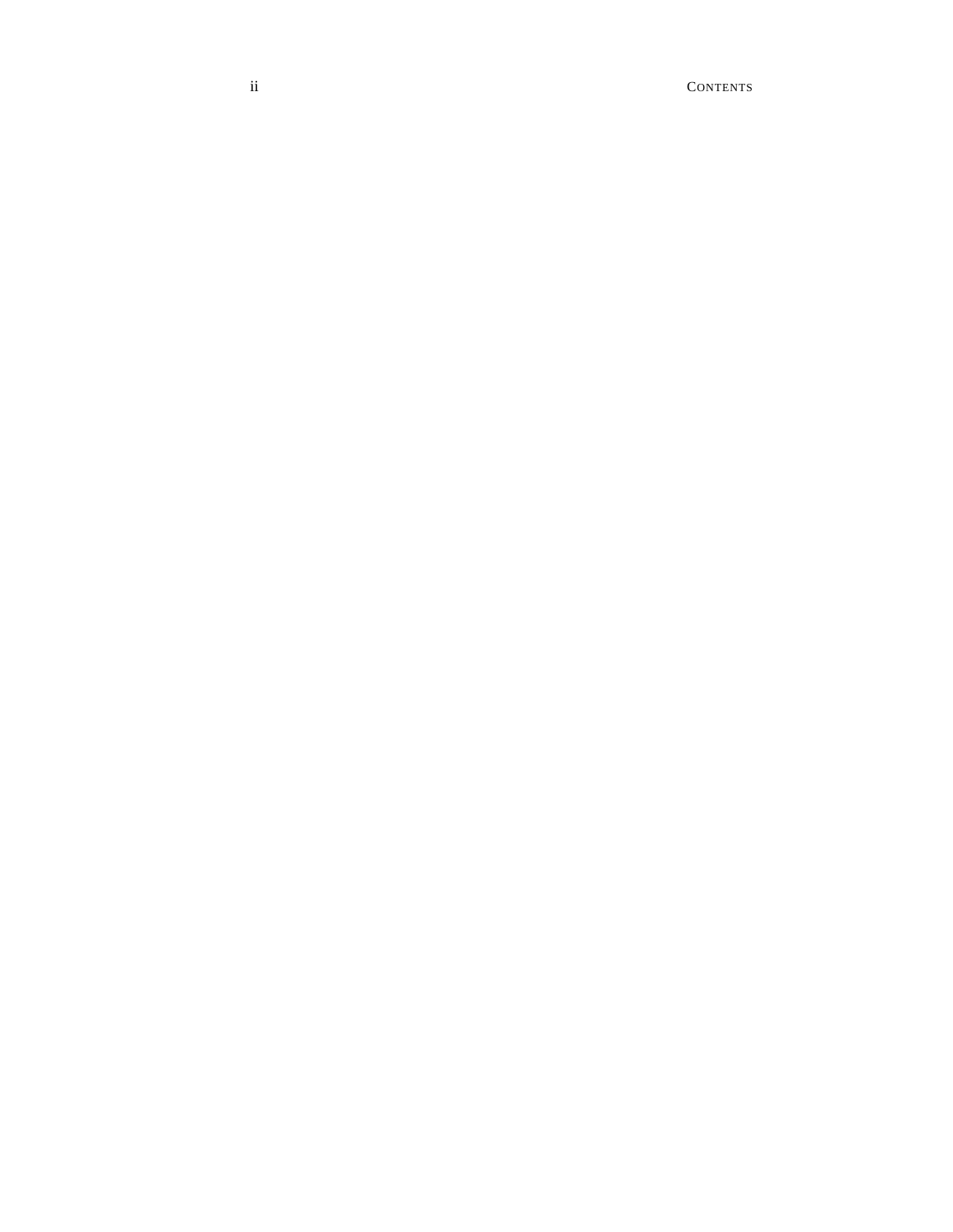ii CONTENTS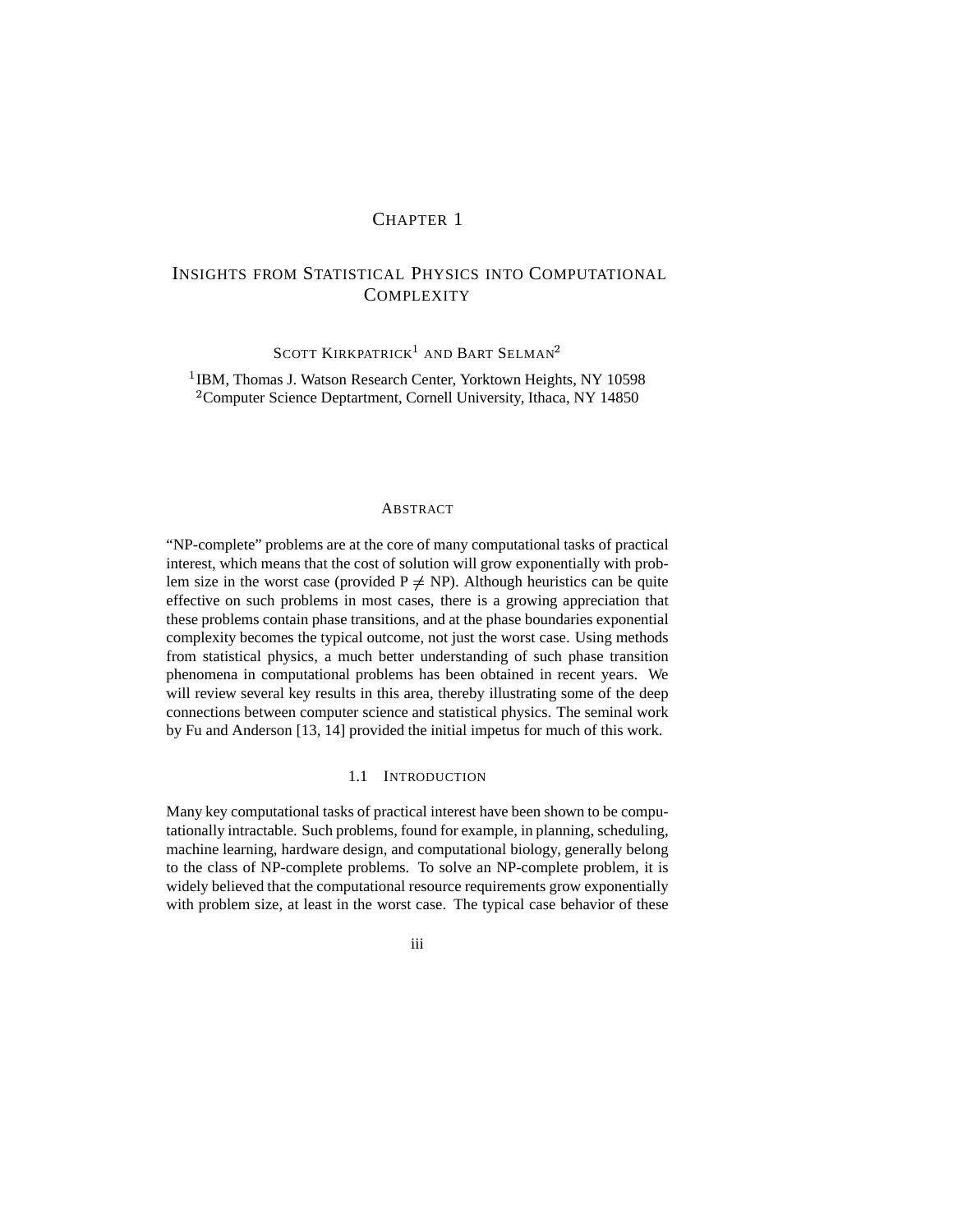## CHAPTER 1

## INSIGHTS FROM STATISTICAL PHYSICS INTO COMPUTATIONAL **COMPLEXITY**

SCOTT KIRKPATRICK $^1$  and Bart Selman $^2$ 

<sup>1</sup>IBM, Thomas J. Watson Research Center, Yorktown Heights, NY 10598 <sup>2</sup> Computer Science Deptartment, Cornell University, Ithaca, NY 14850

## ABSTRACT

"NP-complete" problems are at the core of many computational tasks of practical interest, which means that the cost of solution will grow exponentially with problem size in the worst case (provided  $P \neq NP$ ). Although heuristics can be quite effective on such problems in most cases, there is a growing appreciation that these problems contain phase transitions, and at the phase boundaries exponential complexity becomes the typical outcome, not just the worst case. Using methods from statistical physics, a much better understanding of such phase transition phenomena in computational problems has been obtained in recent years. We will review several key results in this area, thereby illustrating some of the deep connections between computer science and statistical physics. The seminal work by Fu and Anderson [13, 14] provided the initial impetus for much of this work.

### 1.1 INTRODUCTION

Many key computational tasks of practical interest have been shown to be computationally intractable. Such problems, found for example, in planning, scheduling, machine learning, hardware design, and computational biology, generally belong to the class of NP-complete problems. To solve an NP-complete problem, it is widely believed that the computational resource requirements grow exponentially with problem size, at least in the worst case. The typical case behavior of these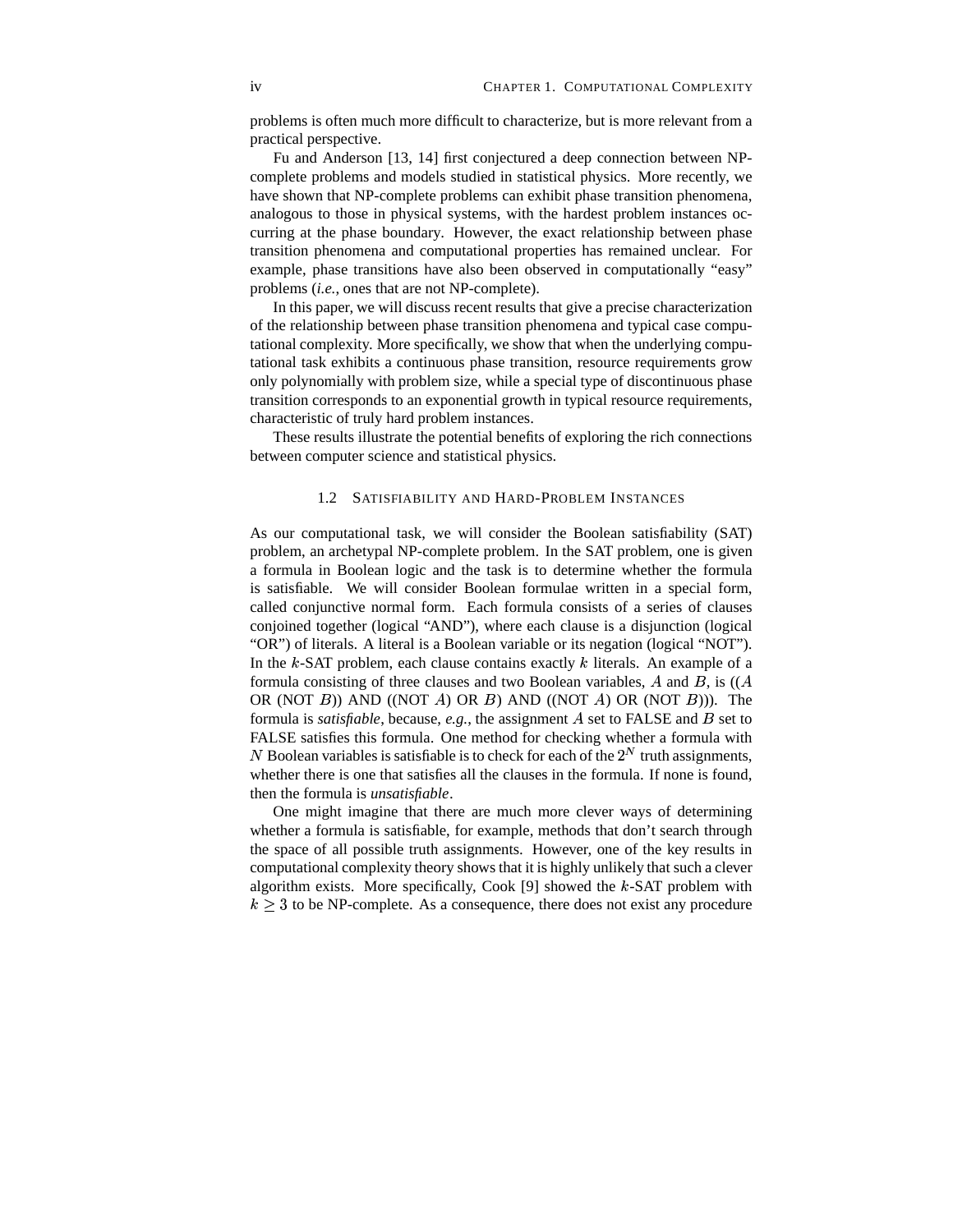problems is often much more difficult to characterize, but is more relevant from a practical perspective.

Fu and Anderson [13, 14] first conjectured a deep connection between NPcomplete problems and models studied in statistical physics. More recently, we have shown that NP-complete problems can exhibit phase transition phenomena, analogous to those in physical systems, with the hardest problem instances occurring at the phase boundary. However, the exact relationship between phase transition phenomena and computational properties has remained unclear. For example, phase transitions have also been observed in computationally "easy" problems (*i.e.*, ones that are not NP-complete).

In this paper, we will discuss recent results that give a precise characterization of the relationship between phase transition phenomena and typical case computational complexity. More specifically, we show that when the underlying computational task exhibits a continuous phase transition, resource requirements grow only polynomially with problem size, while a special type of discontinuous phase transition corresponds to an exponential growth in typical resource requirements, characteristic of truly hard problem instances.

These results illustrate the potential benefits of exploring the rich connections between computer science and statistical physics.

### 1.2 SATISFIABILITY AND HARD-PROBLEM INSTANCES

As our computational task, we will consider the Boolean satisfiability (SAT) problem, an archetypal NP-complete problem. In the SAT problem, one is given a formula in Boolean logic and the task is to determine whether the formula is satisfiable. We will consider Boolean formulae written in a special form, called conjunctive normal form. Each formula consists of a series of clauses conjoined together (logical "AND"), where each clause is a disjunction (logical "OR") of literals. A literal is a Boolean variable or its negation (logical "NOT"). In the  $k$ -SAT problem, each clause contains exactly  $k$  literals. An example of a formula consisting of three clauses and two Boolean variables,  $A$  and  $B$ , is (( $A$ OR (NOT  $B$ )) AND ((NOT  $A$ ) OR  $B$ ) AND ((NOT  $A$ ) OR (NOT  $B$ ))). The formula is *satisfiable*, because,  $e.g.,$  the assignment  $A$  set to FALSE and  $B$  set to FALSE satisfies this formula. One method for checking whether a formula with N Boolean variables is satisfiable is to check for each of the  $2^N$  truth assignments, whether there is one that satisfies all the clauses in the formula. If none is found, then the formula is *unsatisfiable*.

One might imagine that there are much more clever ways of determining whether a formula is satisfiable, for example, methods that don't search through the space of all possible truth assignments. However, one of the key results in computational complexity theory showsthat it is highly unlikely that such a clever algorithm exists. More specifically, Cook [9] showed the  $k$ -SAT problem with  $k \geq 3$  to be NP-complete. As a consequence, there does not exist any procedure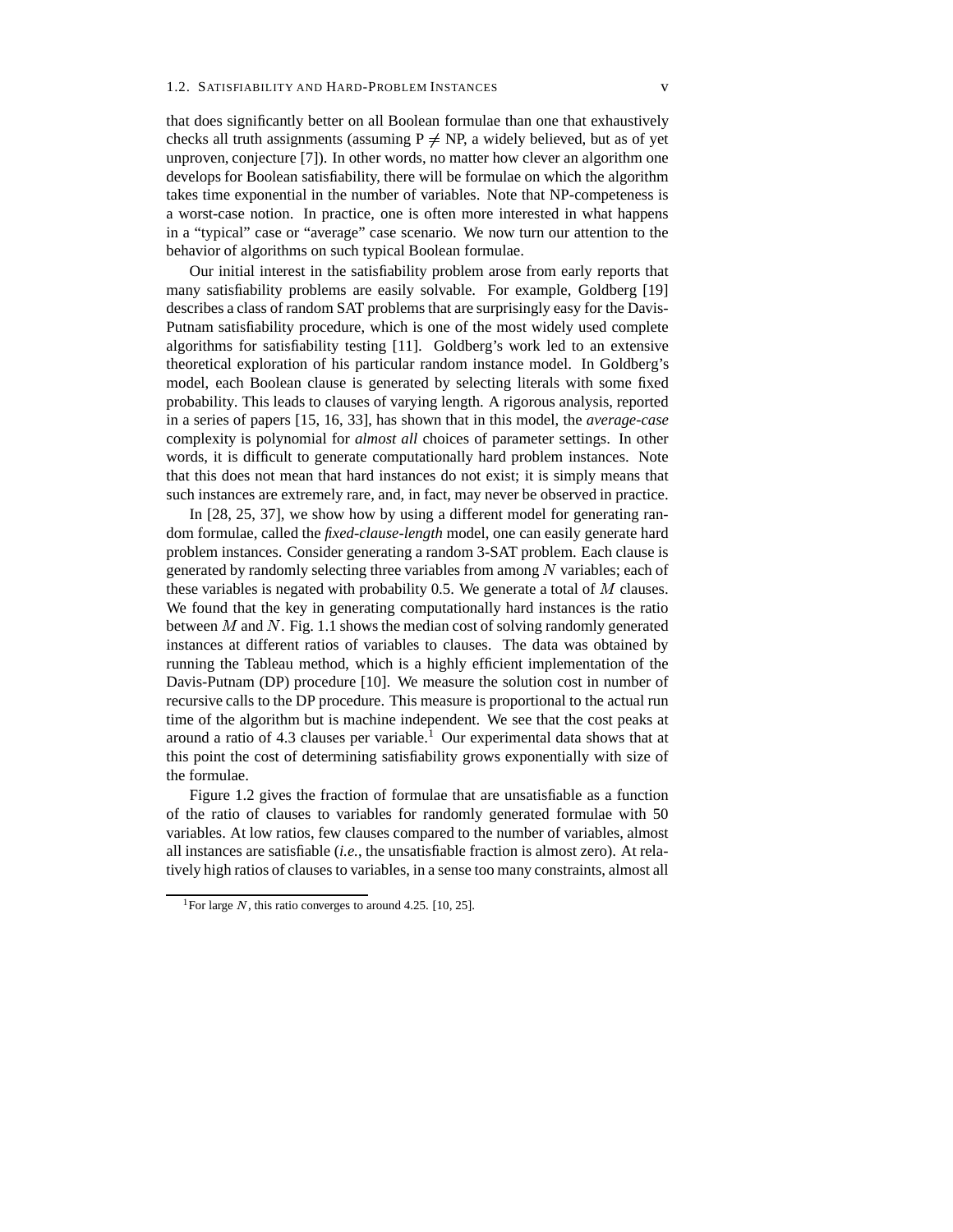that does significantly better on all Boolean formulae than one that exhaustively checks all truth assignments (assuming  $P \neq NP$ , a widely believed, but as of yet unproven, conjecture [7]). In other words, no matter how clever an algorithm one develops for Boolean satisfiability, there will be formulae on which the algorithm takes time exponential in the number of variables. Note that NP-competeness is a worst-case notion. In practice, one is often more interested in what happens in a "typical" case or "average" case scenario. We now turn our attention to the behavior of algorithms on such typical Boolean formulae.

Our initial interest in the satisfiability problem arose from early reports that many satisfiability problems are easily solvable. For example, Goldberg [19] describes a class of random SAT problems that are surprisingly easy for the Davis-Putnam satisfiability procedure, which is one of the most widely used complete algorithms for satisfiability testing [11]. Goldberg's work led to an extensive theoretical exploration of his particular random instance model. In Goldberg's model, each Boolean clause is generated by selecting literals with some fixed probability. This leads to clauses of varying length. A rigorous analysis, reported in a series of papers [15, 16, 33], has shown that in this model, the *average-case* complexity is polynomial for *almost all* choices of parameter settings. In other words, it is difficult to generate computationally hard problem instances. Note that this does not mean that hard instances do not exist; it is simply means that such instances are extremely rare, and, in fact, may never be observed in practice.

In [28, 25, 37], we show how by using a different model for generating random formulae, called the *fixed-clause-length* model, one can easily generate hard problem instances. Consider generating a random 3-SAT problem. Each clause is generated by randomly selecting three variables from among  $N$  variables; each of these variables is negated with probability 0.5. We generate a total of  $M$  clauses. We found that the key in generating computationally hard instances is the ratio between  $M$  and  $N$ . Fig. 1.1 shows the median cost of solving randomly generated instances at different ratios of variables to clauses. The data was obtained by running the Tableau method, which is a highly efficient implementation of the Davis-Putnam (DP) procedure [10]. We measure the solution cost in number of recursive calls to the DP procedure. This measure is proportional to the actual run time of the algorithm but is machine independent. We see that the cost peaks at around a ratio of 4.3 clauses per variable.<sup>1</sup> Our experimental data shows that at this point the cost of determining satisfiability grows exponentially with size of the formulae.

Figure 1.2 gives the fraction of formulae that are unsatisfiable as a function of the ratio of clauses to variables for randomly generated formulae with 50 variables. At low ratios, few clauses compared to the number of variables, almost all instances are satisfiable (*i.e.*, the unsatisfiable fraction is almost zero). At relatively high ratios of clauses to variables, in a sense too many constraints, almost all

<sup>&</sup>lt;sup>1</sup>For large N, this ratio converges to around 4.25. [10, 25].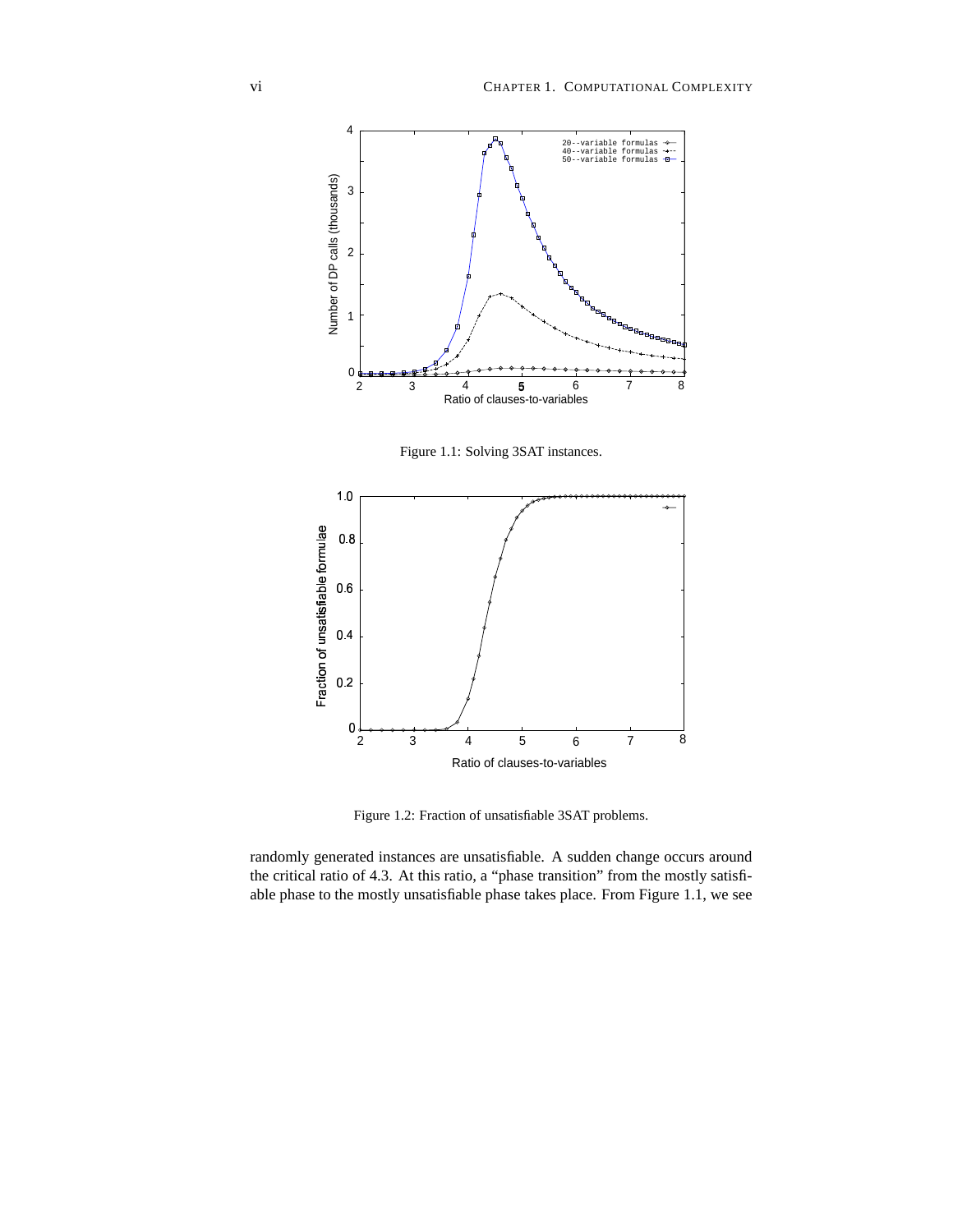

Figure 1.1: Solving 3SAT instances.



Figure 1.2: Fraction of unsatisfiable 3SAT problems.

randomly generated instances are unsatisfiable. A sudden change occurs around the critical ratio of 4.3. At this ratio, a "phase transition" from the mostly satisfiable phase to the mostly unsatisfiable phase takes place. From Figure 1.1, we see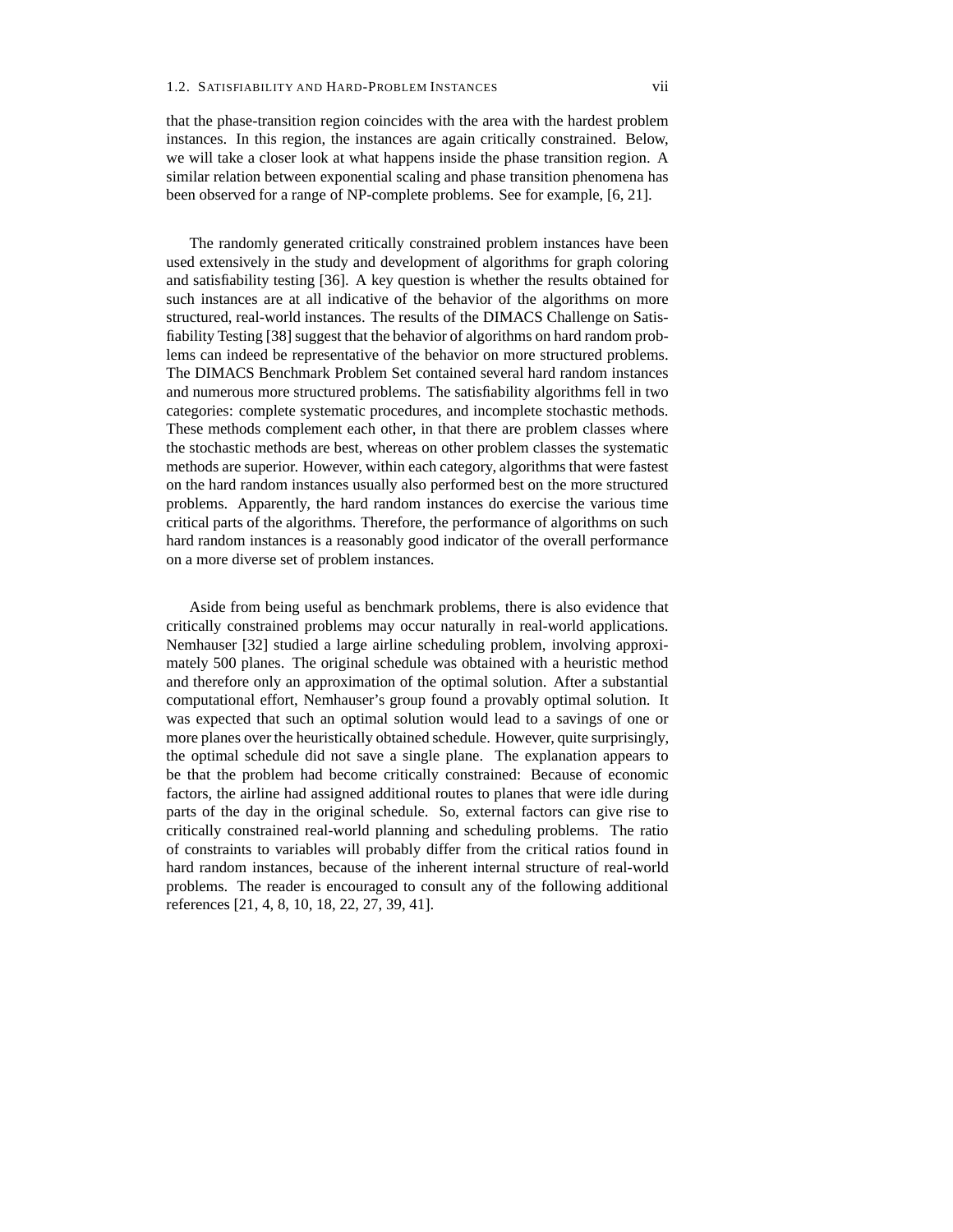#### 1.2. SATISFIABILITY AND HARD-PROBLEM INSTANCES vii

that the phase-transition region coincides with the area with the hardest problem instances. In this region, the instances are again critically constrained. Below, we will take a closer look at what happens inside the phase transition region. A similar relation between exponential scaling and phase transition phenomena has been observed for a range of NP-complete problems. See for example, [6, 21].

The randomly generated critically constrained problem instances have been used extensively in the study and development of algorithms for graph coloring and satisfiability testing [36]. A key question is whether the results obtained for such instances are at all indicative of the behavior of the algorithms on more structured, real-world instances. The results of the DIMACS Challenge on Satisfiability Testing [38] suggest that the behavior of algorithms on hard random problems can indeed be representative of the behavior on more structured problems. The DIMACS Benchmark Problem Set contained several hard random instances and numerous more structured problems. The satisfiability algorithms fell in two categories: complete systematic procedures, and incomplete stochastic methods. These methods complement each other, in that there are problem classes where the stochastic methods are best, whereas on other problem classes the systematic methods are superior. However, within each category, algorithms that were fastest on the hard random instances usually also performed best on the more structured problems. Apparently, the hard random instances do exercise the various time critical parts of the algorithms. Therefore, the performance of algorithms on such hard random instances is a reasonably good indicator of the overall performance on a more diverse set of problem instances.

Aside from being useful as benchmark problems, there is also evidence that critically constrained problems may occur naturally in real-world applications. Nemhauser [32] studied a large airline scheduling problem, involving approximately 500 planes. The original schedule was obtained with a heuristic method and therefore only an approximation of the optimal solution. After a substantial computational effort, Nemhauser's group found a provably optimal solution. It was expected that such an optimal solution would lead to a savings of one or more planes over the heuristically obtained schedule. However, quite surprisingly, the optimal schedule did not save a single plane. The explanation appears to be that the problem had become critically constrained: Because of economic factors, the airline had assigned additional routes to planes that were idle during parts of the day in the original schedule. So, external factors can give rise to critically constrained real-world planning and scheduling problems. The ratio of constraints to variables will probably differ from the critical ratios found in hard random instances, because of the inherent internal structure of real-world problems. The reader is encouraged to consult any of the following additional references [21, 4, 8, 10, 18, 22, 27, 39, 41].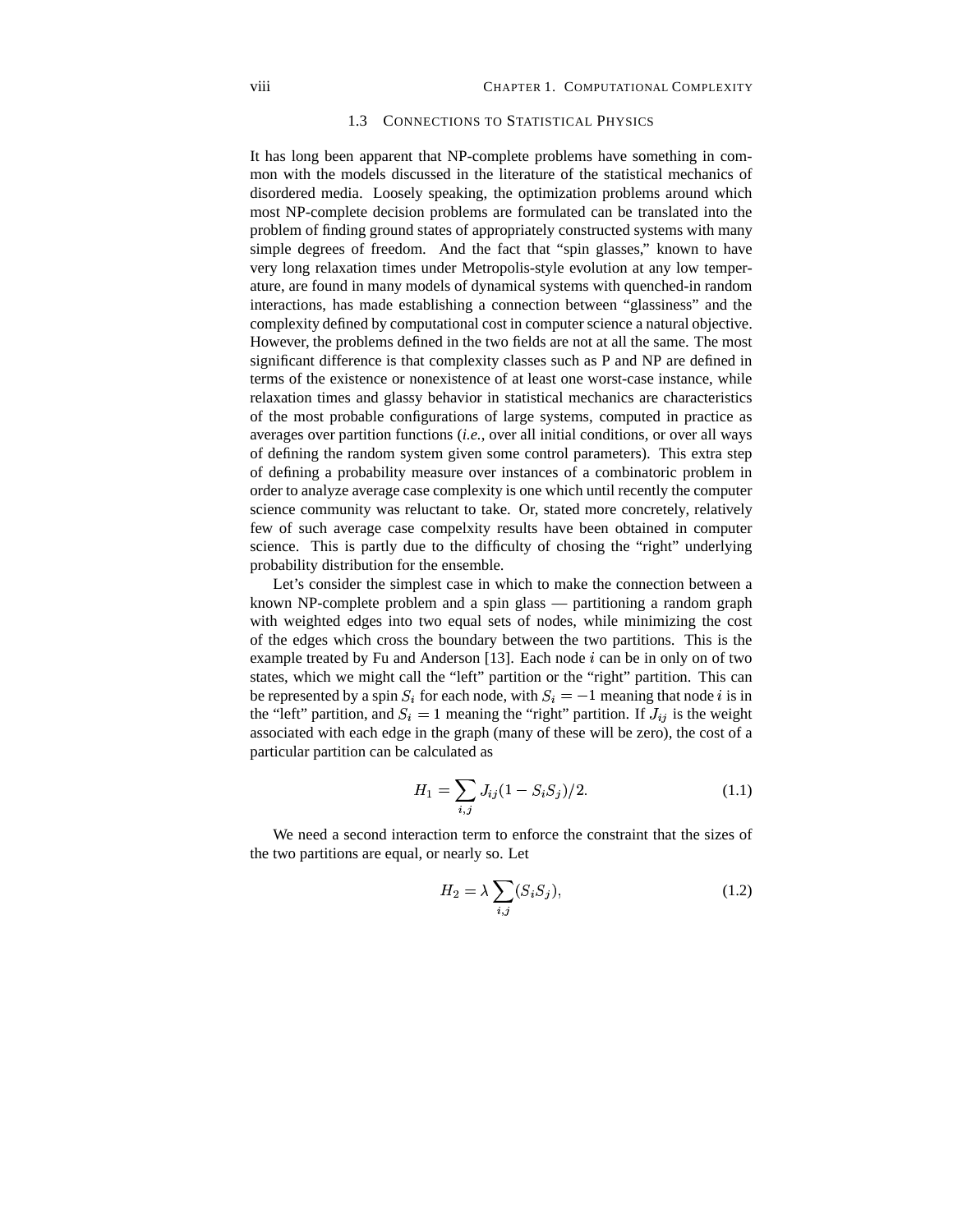#### 1.3 CONNECTIONS TO STATISTICAL PHYSICS

It has long been apparent that NP-complete problems have something in common with the models discussed in the literature of the statistical mechanics of disordered media. Loosely speaking, the optimization problems around which most NP-complete decision problems are formulated can be translated into the problem of finding ground states of appropriately constructed systems with many simple degrees of freedom. And the fact that "spin glasses," known to have very long relaxation times under Metropolis-style evolution at any low temperature, are found in many models of dynamical systems with quenched-in random interactions, has made establishing a connection between "glassiness" and the complexity defined by computational cost in computer science a natural objective. However, the problems defined in the two fields are not at all the same. The most significant difference is that complexity classes such as P and NP are defined in terms of the existence or nonexistence of at least one worst-case instance, while relaxation times and glassy behavior in statistical mechanics are characteristics of the most probable configurations of large systems, computed in practice as averages over partition functions (*i.e.*, over all initial conditions, or over all ways of defining the random system given some control parameters). This extra step of defining a probability measure over instances of a combinatoric problem in order to analyze average case complexity is one which until recently the computer science community was reluctant to take. Or, stated more concretely, relatively few of such average case compelxity results have been obtained in computer science. This is partly due to the difficulty of chosing the "right" underlying probability distribution for the ensemble.

Let's consider the simplest case in which to make the connection between a known NP-complete problem and a spin glass — partitioning a random graph with weighted edges into two equal sets of nodes, while minimizing the cost of the edges which cross the boundary between the two partitions. This is the example treated by Fu and Anderson [13]. Each node  $i$  can be in only on of two states, which we might call the "left" partition or the "right" partition. This can be represented by a spin  $S_i$  for each node, with  $S_i = -1$  meaning that node i is in the "left" partition, and  $S_i = 1$  meaning the "right" partition. If  $J_{ij}$  is the weight associated with each edge in the graph (many of these will be zero), the cost of a particular partition can be calculated as

$$
H_1 = \sum_{i,j} J_{ij} (1 - S_i S_j) / 2.
$$
 (1.1)

We need a second interaction term to enforce the constraint that the sizes of the two partitions are equal, or nearly so. Let

$$
H_2 = \lambda \sum_{i,j} (S_i S_j), \tag{1.2}
$$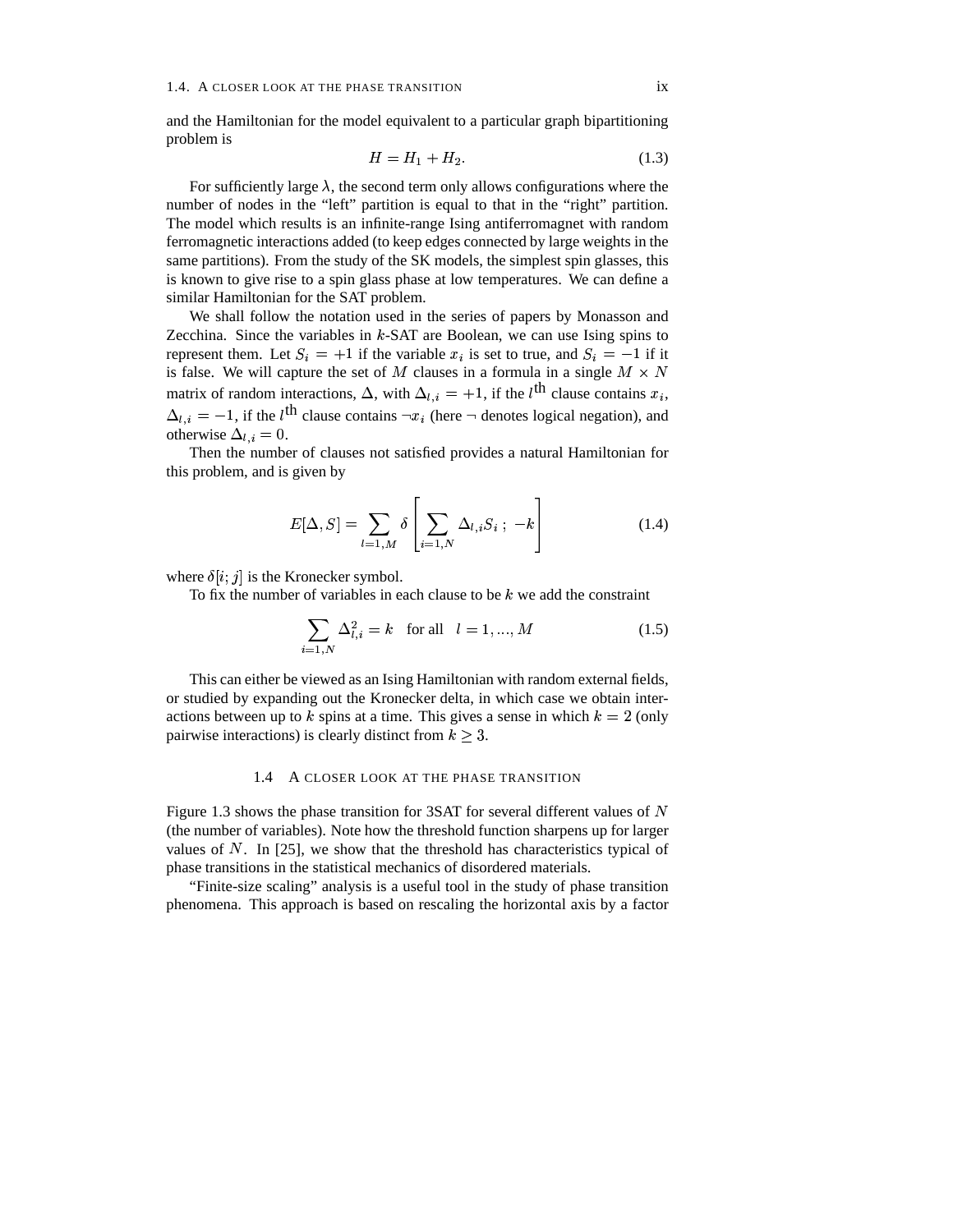and the Hamiltonian for the model equivalent to a particular graph bipartitioning problem is

$$
H = H_1 + H_2. \t\t(1.3)
$$

For sufficiently large  $\lambda$ , the second term only allows configurations where the number of nodes in the "left" partition is equal to that in the "right" partition. The model which results is an infinite-range Ising antiferromagnet with random ferromagnetic interactions added (to keep edges connected by large weights in the same partitions). From the study of the SK models, the simplest spin glasses, this is known to give rise to a spin glass phase at low temperatures. We can define a similar Hamiltonian for the SAT problem.

We shall follow the notation used in the series of papers by Monasson and Zecchina. Since the variables in  $k$ -SAT are Boolean, we can use Ising spins to represent them. Let  $S_i = +1$  if the variable  $x_i$  is set to true, and  $S_i = -1$  if it is false. We will capture the set of M clauses in a formula in a single  $M \times N$ matrix of random interactions,  $\Delta$ , with  $\Delta_{l,i} = +1$ , if the *l*<sup>th</sup> clause contains  $x_i$ ,  $\Delta_{l,i} = -1$ , if the *l*<sup>th</sup> clause contains  $\neg x_i$  (here  $\neg$  denotes logical negation), and otherwise  $\Delta_{l,i} = 0$ .

Then the number of clauses not satisfied provides a natural Hamiltonian for this problem, and is given by

$$
E[\Delta, S] = \sum_{l=1,M} \delta \left[ \sum_{i=1,N} \Delta_{l,i} S_i; -k \right]
$$
 (1.4)

where  $\delta[i;j]$  is the Kronecker symbol.

To fix the number of variables in each clause to be  $k$  we add the constraint

$$
\sum_{i=1,N} \Delta_{l,i}^2 = k \quad \text{for all} \quad l = 1, ..., M \tag{1.5}
$$

This can either be viewed as an Ising Hamiltonian with random external fields, or studied by expanding out the Kronecker delta, in which case we obtain interactions between up to k spins at a time. This gives a sense in which  $k = 2$  (only pairwise interactions) is clearly distinct from  $k \geq 3$ .

#### 1.4 A CLOSER LOOK AT THE PHASE TRANSITION

Figure 1.3 shows the phase transition for 3SAT for several different values of  $N$ (the number of variables). Note how the threshold function sharpens up for larger values of  $N$ . In [25], we show that the threshold has characteristics typical of phase transitions in the statistical mechanics of disordered materials.

"Finite-size scaling" analysis is a useful tool in the study of phase transition phenomena. This approach is based on rescaling the horizontal axis by a factor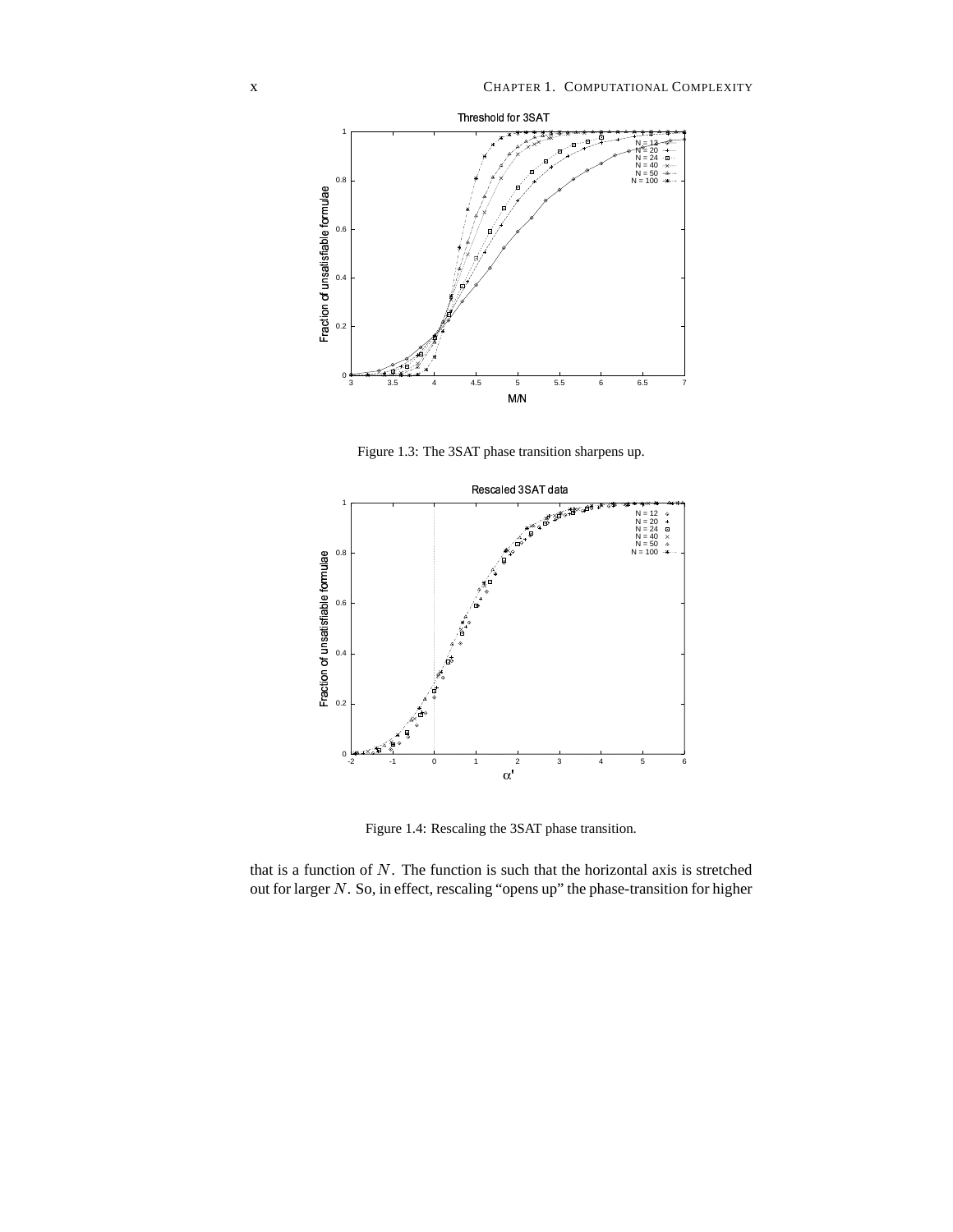

Figure 1.3: The 3SAT phase transition sharpens up.



Figure 1.4: Rescaling the 3SAT phase transition.

that is a function of  $N$ . The function is such that the horizontal axis is stretched out for larger N. So, in effect, rescaling "opens up" the phase-transition for higher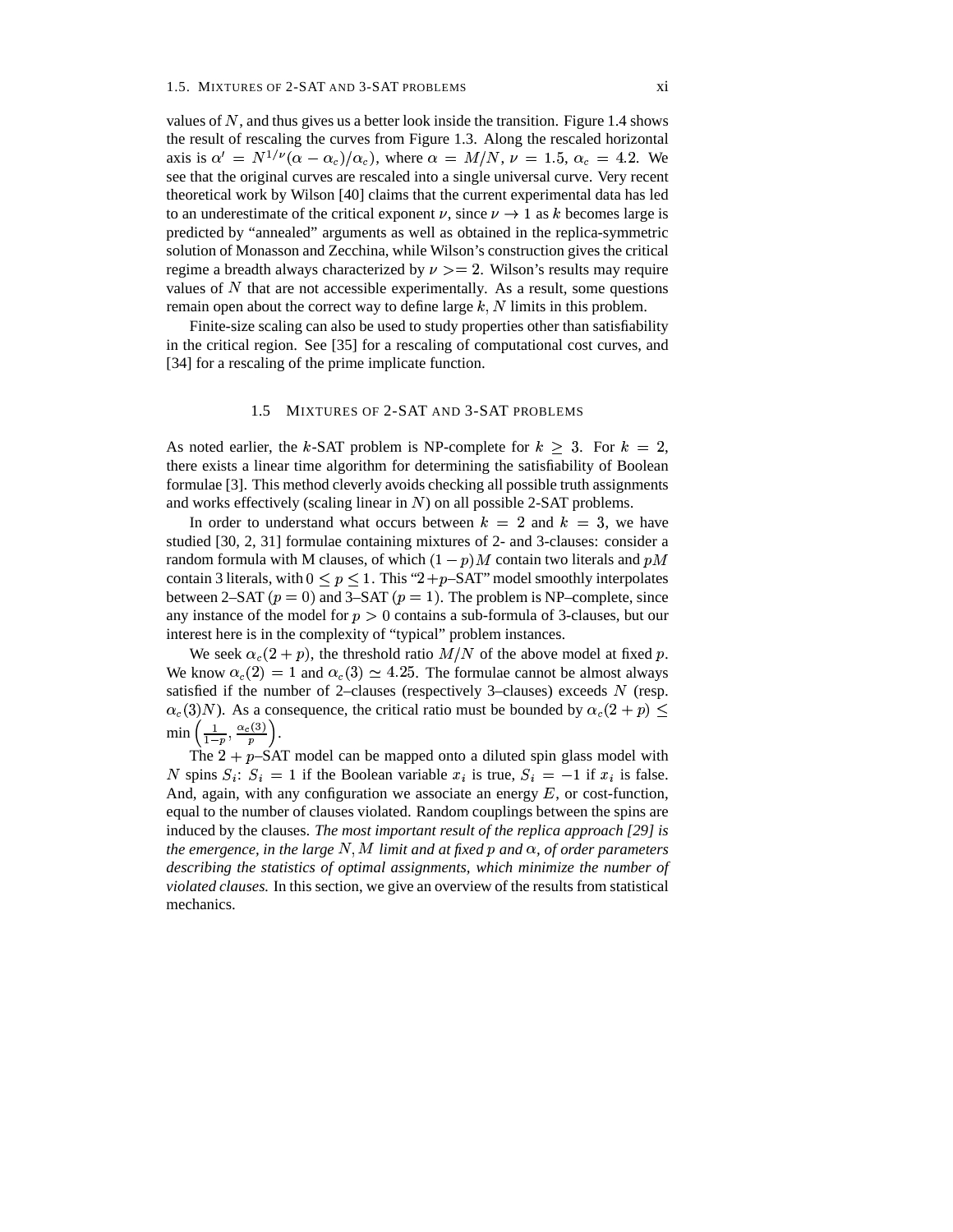values of  $N$ , and thus gives us a better look inside the transition. Figure 1.4 shows the result of rescaling the curves from Figure 1.3. Along the rescaled horizontal axis is  $\alpha' = N^{1/\nu} (\alpha - \alpha_c)/\alpha_c$ , where  $\alpha = M/N$ ,  $\nu = 1.5$ ,  $\alpha_c = 4.2$ . We see that the original curves are rescaled into a single universal curve. Very recent theoretical work by Wilson [40] claims that the current experimental data has led to an underestimate of the critical exponent  $\nu$ , since  $\nu \to 1$  as k becomes large is predicted by "annealed" arguments as well as obtained in the replica-symmetric solution of Monasson and Zecchina, while Wilson's construction gives the critical regime a breadth always characterized by  $\nu > = 2$ . Wilson's results may require values of  $N$  that are not accessible experimentally. As a result, some questions remain open about the correct way to define large  $k$ ,  $N$  limits in this problem.

Finite-size scaling can also be used to study properties other than satisfiability in the critical region. See [35] for a rescaling of computational cost curves, and [34] for a rescaling of the prime implicate function.

#### 1.5 MIXTURES OF 2-SAT AND 3-SAT PROBLEMS

As noted earlier, the k-SAT problem is NP-complete for  $k \geq 3$ . For  $k = 2$ , there exists a linear time algorithm for determining the satisfiability of Boolean formulae [3]. This method cleverly avoids checking all possible truth assignments and works effectively (scaling linear in  $N$ ) on all possible 2-SAT problems.

In order to understand what occurs between  $k = 2$  and  $k = 3$ , we have studied [30, 2, 31] formulae containing mixtures of 2- and 3-clauses: consider a random formula with M clauses, of which  $(1 - p)M$  contain two literals and  $pM$ contain 3 literals, with  $0 \le p \le 1$ . This "2+p-SAT" model smoothly interpolates between 2–SAT  $(p = 0)$  and 3–SAT  $(p = 1)$ . The problem is NP–complete, since any instance of the model for  $p > 0$  contains a sub-formula of 3-clauses, but our interest here is in the complexity of "typical" problem instances.

We seek  $\alpha_c(2+p)$ , the threshold ratio  $M/N$  of the above model at fixed p. We know  $\alpha_c(2) = 1$  and  $\alpha_c(3) \simeq 4.25$ . The formulae cannot be almost always satisfied if the number of 2–clauses (respectively 3–clauses) exceeds  $N$  (resp.  $\alpha_c(3)N$ ). As a consequence, the critical ratio must be bounded by  $\alpha_c(2+p) \leq$  $\min\left(\frac{1}{1-n},\frac{\alpha_c(3)}{n}\right).$ 

The  $2 + p$ -SAT model can be mapped onto a diluted spin glass model with N spins  $S_i$ :  $S_i = 1$  if the Boolean variable  $x_i$  is true,  $S_i = -1$  if  $x_i$  is false. And, again, with any configuration we associate an energy  $E$ , or cost-function, equal to the number of clauses violated. Random couplings between the spins are induced by the clauses. *The most important result of the replica approach [29] is* the emergence, in the large  $N, M$  limit and at fixed  $p$  and  $\alpha$ , of order parameters *describing the statistics of optimal assignments, which minimize the number of violated clauses.* In this section, we give an overview of the results from statistical mechanics.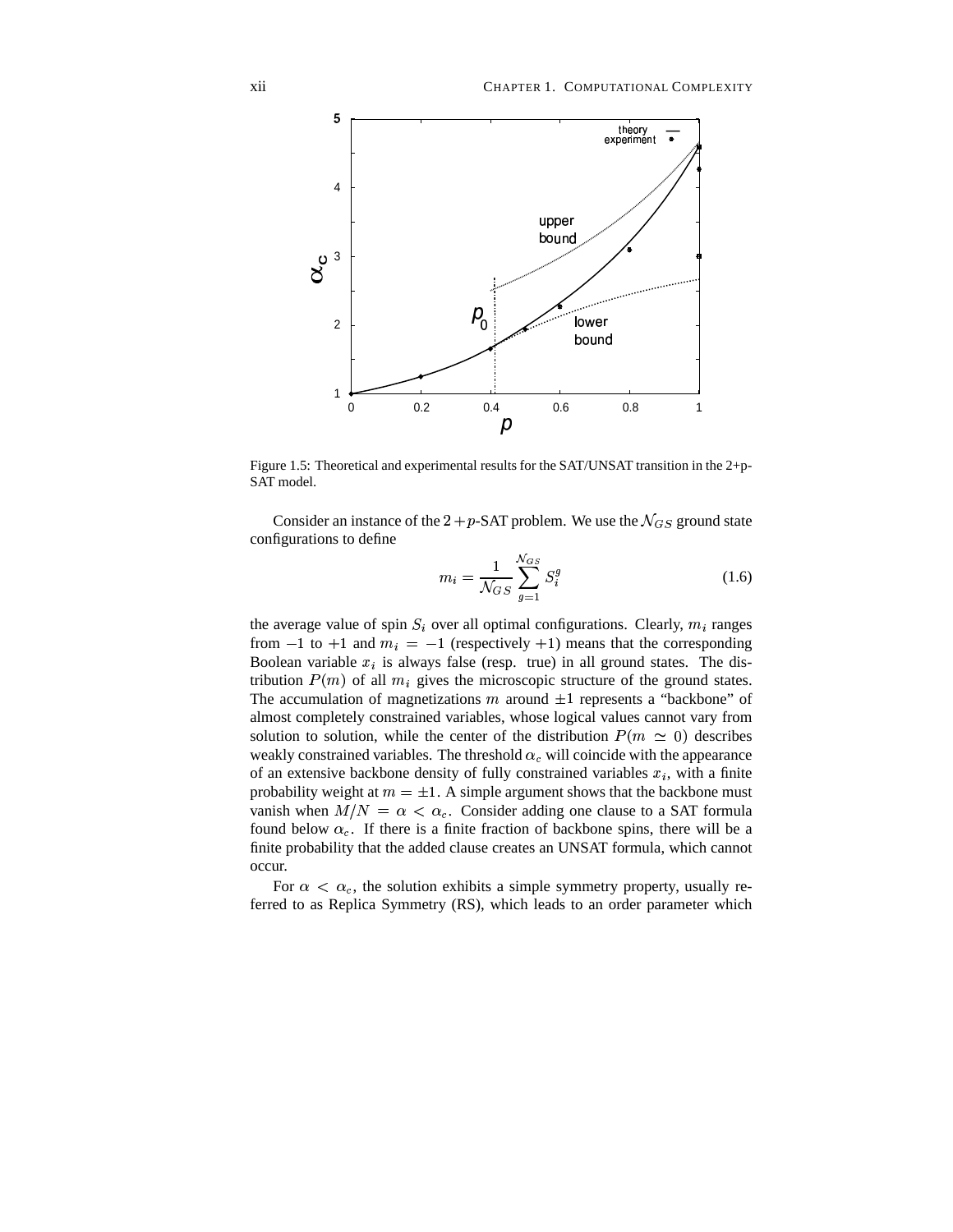

Figure 1.5: Theoretical and experimental results for the SAT/UNSAT transition in the 2+p-SAT model.

Consider an instance of the 2 + p-SAT problem. We use the  $\mathcal{N}_{GS}$  ground state configurations to define

$$
m_i = \frac{1}{\mathcal{N}_{GS}} \sum_{g=1}^{\mathcal{N}_{GS}} S_i^g \tag{1.6}
$$

the average value of spin  $S_i$  over all optimal configurations. Clearly,  $m_i$  ranges the average value of spin  $S_i$  over all optimal configurations. Clearly,  $m_i$  ranges from  $-1$  to  $+1$  and  $m_i = -1$  (respectively  $+1$ ) means that the corresponding Boolean variable  $x_i$  is always false (resp. true) in all ground states. The dis-<br>tribution  $P(m)$  of all  $m_i$  gives the microscopic structure of the ground states. tribution  $P(m)$  of all  $m_i$  gives the microscopic structure of the ground states. tribution  $P(m)$  of all  $m_i$  gives the microscopic structure of the ground states.<br>The accumulation of magnetizations m around  $\pm 1$  represents a "backbone" of almost completely constrained variables, whose logical values cannot vary from solution to solution. While the center of the distribution  $P(m \approx 0)$  describes solution to solution, while the center of the distribution  $P(m \simeq 0)$  describes weakly constrained variables. The threshold  $\alpha_c$  will coincide with the appearance of an extensive backbone density of fully constrained variables  $x_i$ , with a finite probability weight at  $m = \pm 1$ . A simple argument shows that the backbone must  $= \pm 1$ . A simple argument shows that the backbone must vanish when  $M/N = \alpha < \alpha_c$ . Consider adding one clause to a SAT formula found below  $\alpha_c$ . If there is a finite fraction of backbone spins, there will be a finite probability that the added clause creates an UNSAT formula, which cannot occur.

For  $\alpha < \alpha_c$ , the solution exhibits a simple symmetry property, usually referred to as Replica Symmetry (RS), which leads to an order parameter which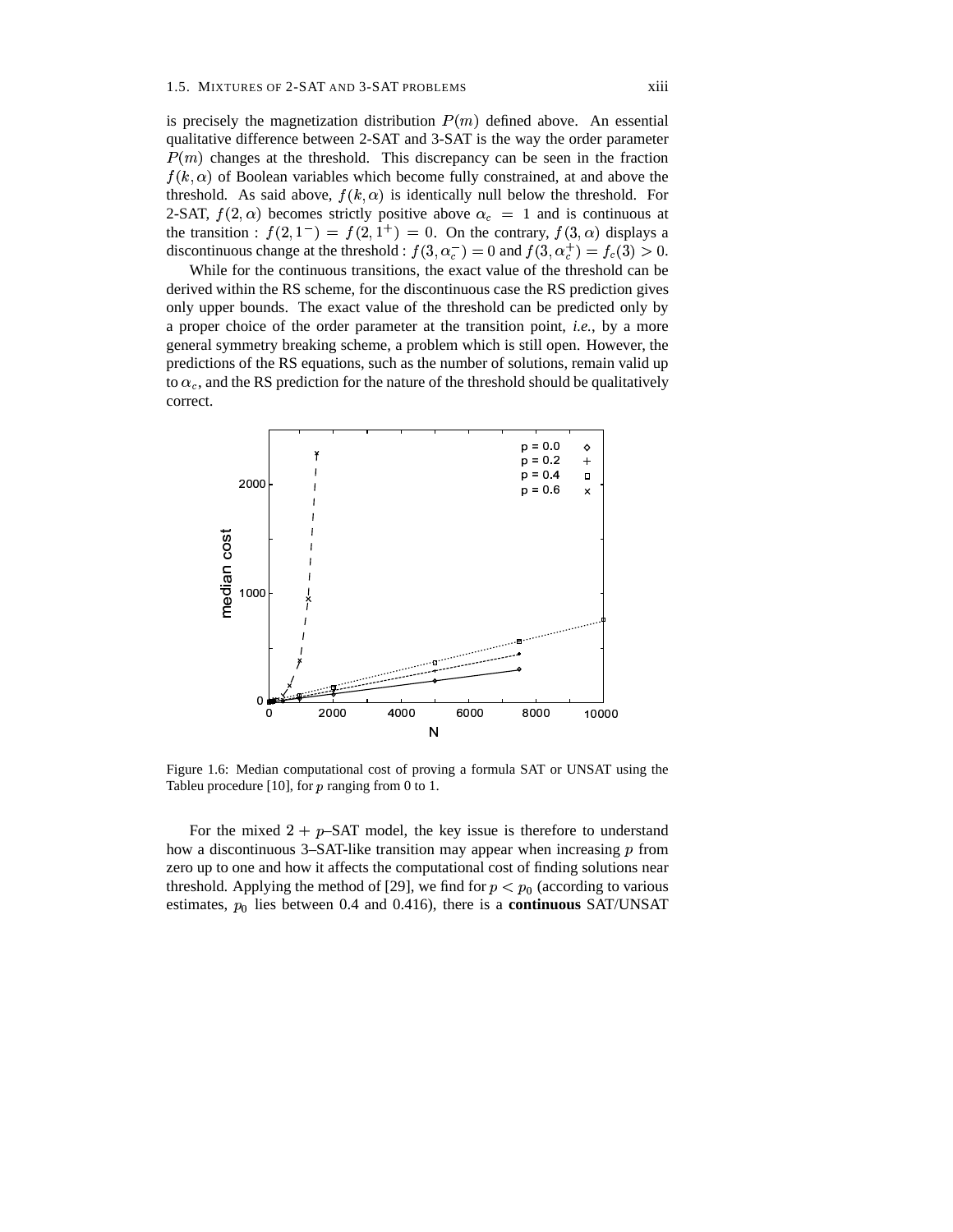i.5. MIXTOKES OF 2-5AT AND 3-5AT FROBLEMS<br>is precisely the magnetization distribution  $P(m)$  defined above. An essential qualitative difference between 2-SAT and 3-SAT is the way the order parameter  $P(m)$  changes at the threshold. This discrepancy can be seen in the fraction  $P(m)$  changes at the threshold. This discrepancy can be seen in the fraction  $f(k, \alpha)$  of Boolean variables which become fully constrained, at and above the threshold. As said above,  $f(k, \alpha)$  is identically null below the threshold. For 2-SAT,  $f(2, \alpha)$  becomes strictly positive above  $\alpha_c = 1$  and is continuous at the transition :  $f(2, 1^-) = f(2, 1^+) = 0$ . On the contrary,  $f(3, \alpha)$  displays a discontinuous change at the threshold :  $f(3, \alpha_c^-) = 0$  and  $\lambda_c^{\text{-}}$  = 0 and  $f(3, \alpha_c^+) = f_c(3) > 0$ .

While for the continuous transitions, the exact value of the threshold can be derived within the RS scheme, for the discontinuous case the RS prediction gives only upper bounds. The exact value of the threshold can be predicted only by a proper choice of the order parameter at the transition point, *i.e.*, by a more general symmetry breaking scheme, a problem which is still open. However, the predictions of the RS equations, such as the number of solutions, remain valid up to  $\alpha_c$ , and the RS prediction for the nature of the threshold should be qualitatively correct.



Figure 1.6: Median computational cost of proving a formula SAT or UNSAT using the Tableu procedure [10], for  $p$  ranging from 0 to 1.

For the mixed  $2 + p$ -SAT model, the key issue is therefore to understand how a discontinuous 3–SAT-like transition may appear when increasing  $p$  from zero up to one and how it affects the computational cost of finding solutions near threshold. Applying the method of [29], we find for  $p < p_0$  (according to various estimates,  $p_0$  lies between 0.4 and 0.416), there is a **continuous** SAT/UNSAT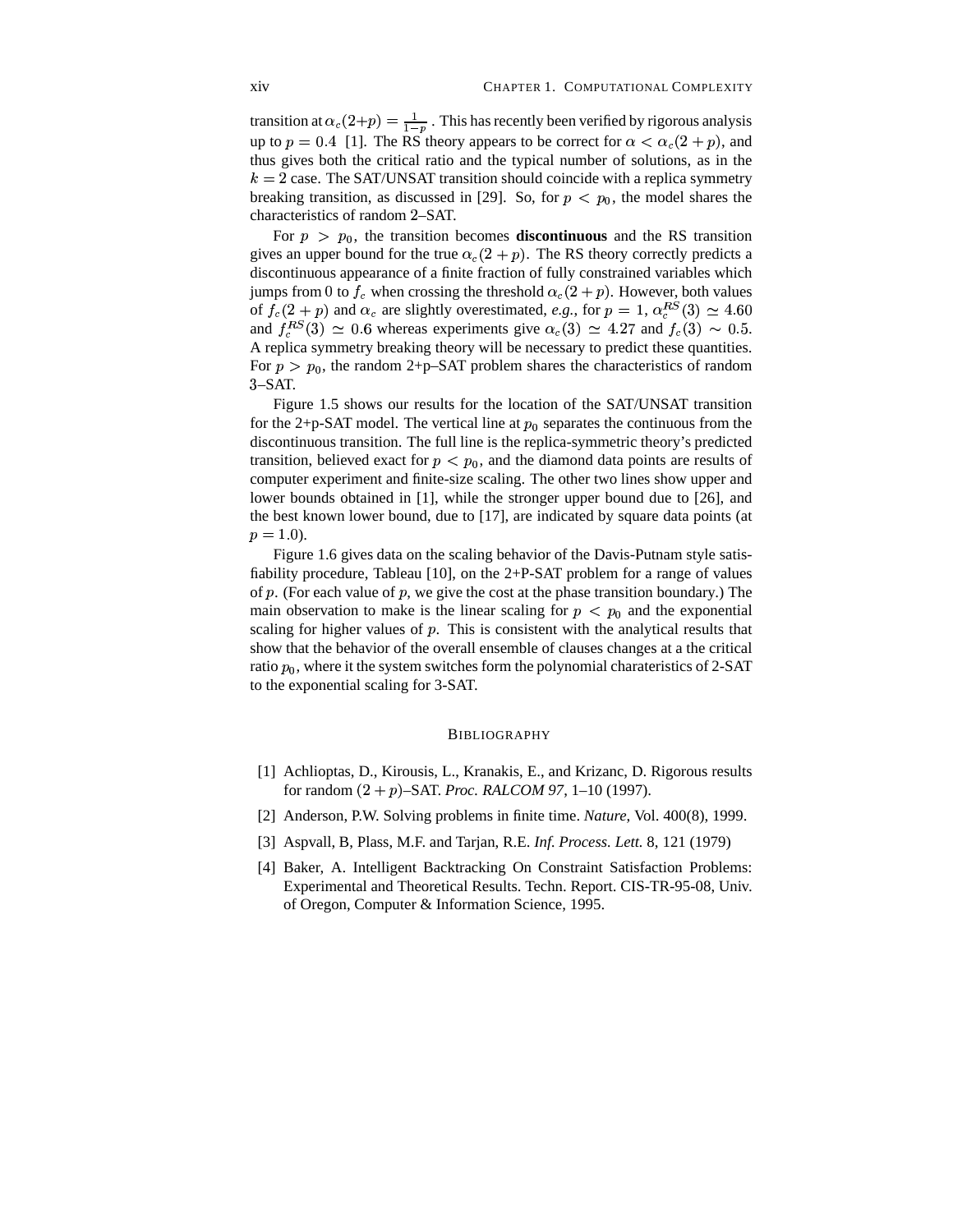transition at  $\alpha_c(2+p) = \frac{1}{1-p}$ . This has recently been verified by rigorous analysis up to  $p = 0.4$  [1]. The RS theory appears to be correct for  $\alpha < \alpha_c(2 + p)$ , and thus gives both the critical ratio and the typical number of solutions, as in the  $k = 2$  case. The SAT/UNSAT transition should coincide with a replica symmetry breaking transition, as discussed in [29]. So, for  $p < p_0$ , the model shares the characteristics of random 2-SAT.

For  $p > p_0$ , the transition becomes **discontinuous** and the RS transition gives an upper bound for the true  $\alpha_c(2 + p)$ . The RS theory correctly predicts a discontinuous appearance of a finite fraction of fully constrained variables which jumps from 0 to  $f_c$  when crossing the threshold  $\alpha_c(2+p)$ . However, both values of  $f_c(2+p)$  and  $\alpha_c$  are slightly overestimated, *e.g.*, for  $p = 1$ ,  $\alpha_c^{RS}(3) \simeq 4.60$ and  $f_c^{RS}(3) \simeq 0.6$  whereas experiments give  $\alpha_c(3) \simeq 4.27$  and  $f_c(3) \sim 0.5$ . A replica symmetry breaking theory will be necessary to predict these quantities. For  $p > p_0$ , the random 2+p–SAT problem shares the characteristics of random –SAT.

Figure 1.5 shows our results for the location of the SAT/UNSAT transition for the 2+p-SAT model. The vertical line at  $p_0$  separates the continuous from the discontinuous transition. The full line is the replica-symmetric theory's predicted transition, believed exact for  $p < p_0$ , and the diamond data points are results of computer experiment and finite-size scaling. The other two lines show upper and lower bounds obtained in [1], while the stronger upper bound due to [26], and the best known lower bound, due to [17], are indicated by square data points (at  $p = 1.0$ ).

Figure 1.6 gives data on the scaling behavior of the Davis-Putnam style satisfiability procedure, Tableau [10], on the 2+P-SAT problem for a range of values of  $p$ . (For each value of  $p$ , we give the cost at the phase transition boundary.) The main observation to make is the linear scaling for  $p < p_0$  and the exponential scaling for higher values of  $p$ . This is consistent with the analytical results that show that the behavior of the overall ensemble of clauses changes at a the critical ratio  $p_0$ , where it the system switches form the polynomial charateristics of 2-SAT to the exponential scaling for 3-SAT.

#### BIBLIOGRAPHY

- [1] Achlioptas, D., Kirousis, L., Kranakis, E., and Krizanc, D. Rigorous results for random  $(2 + p)$ -SAT. *Proc. RALCOM* 97, 1–10 (1997).
- [2] Anderson, P.W. Solving problems in finite time. *Nature*, Vol. 400(8), 1999.
- [3] Aspvall, B, Plass, M.F. and Tarjan, R.E. *Inf. Process. Lett.* 8, 121 (1979)
- [4] Baker, A. Intelligent Backtracking On Constraint Satisfaction Problems: Experimental and Theoretical Results. Techn. Report. CIS-TR-95-08, Univ. of Oregon, Computer & Information Science, 1995.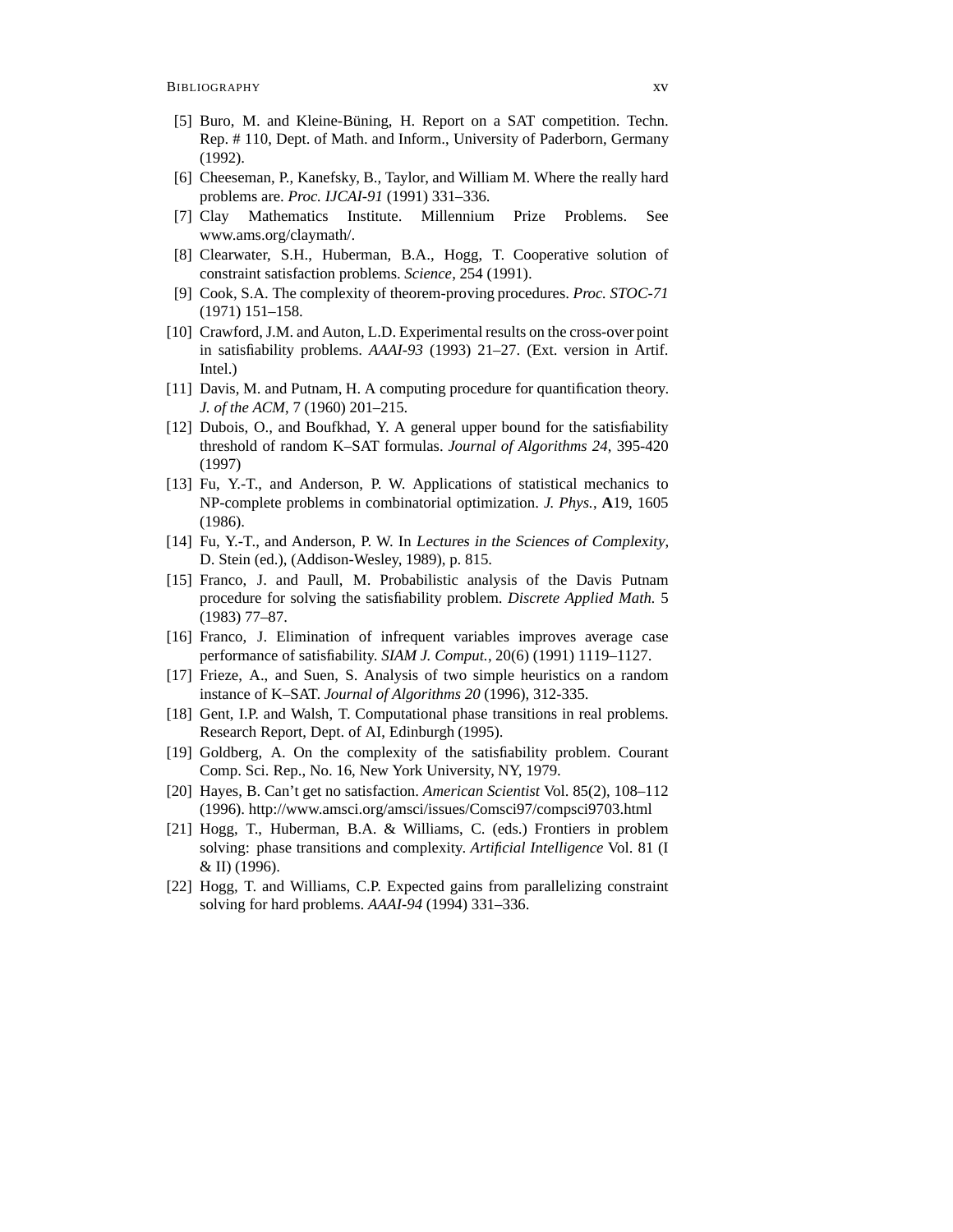- [5] Buro, M. and Kleine-Büning, H. Report on a SAT competition. Techn. Rep. # 110, Dept. of Math. and Inform., University of Paderborn, Germany (1992).
- [6] Cheeseman, P., Kanefsky, B., Taylor, and William M. Where the really hard problems are. *Proc. IJCAI-91* (1991) 331–336.
- [7] Clay Mathematics Institute. Millennium Prize Problems. See www.ams.org/claymath/.
- [8] Clearwater, S.H., Huberman, B.A., Hogg, T. Cooperative solution of constraint satisfaction problems. *Science*, 254 (1991).
- [9] Cook, S.A. The complexity of theorem-proving procedures. *Proc. STOC-71* (1971) 151–158.
- [10] Crawford, J.M. and Auton, L.D. Experimental results on the cross-over point in satisfiability problems. *AAAI-93* (1993) 21–27. (Ext. version in Artif. Intel.)
- [11] Davis, M. and Putnam, H. A computing procedure for quantification theory. *J. of the ACM*, 7 (1960) 201–215.
- [12] Dubois, O., and Boufkhad, Y. A general upper bound for the satisfiability threshold of random K–SAT formulas. *Journal of Algorithms 24*, 395-420 (1997)
- [13] Fu, Y.-T., and Anderson, P. W. Applications of statistical mechanics to NP-complete problems in combinatorial optimization. *J. Phys.*, **A**19, 1605 (1986).
- [14] Fu, Y.-T., and Anderson, P. W. In Lectures in the Sciences of Complexity, D. Stein (ed.), (Addison-Wesley, 1989), p. 815.
- [15] Franco, J. and Paull, M. Probabilistic analysis of the Davis Putnam procedure for solving the satisfiability problem. *Discrete Applied Math.* 5 (1983) 77–87.
- [16] Franco, J. Elimination of infrequent variables improves average case performance of satisfiability. *SIAM J. Comput.*, 20(6) (1991) 1119–1127.
- [17] Frieze, A., and Suen, S. Analysis of two simple heuristics on a random instance of K–SAT. *Journal of Algorithms 20* (1996), 312-335.
- [18] Gent, I.P. and Walsh, T. Computational phase transitions in real problems. Research Report, Dept. of AI, Edinburgh (1995).
- [19] Goldberg, A. On the complexity of the satisfiability problem. Courant Comp. Sci. Rep., No. 16, New York University, NY, 1979.
- [20] Hayes, B. Can't get no satisfaction. *American Scientist* Vol. 85(2), 108–112 (1996). http://www.amsci.org/amsci/issues/Comsci97/compsci9703.html
- [21] Hogg, T., Huberman, B.A. & Williams, C. (eds.) Frontiers in problem solving: phase transitions and complexity. *Artificial Intelligence* Vol. 81 (I & II) (1996).
- [22] Hogg, T. and Williams, C.P. Expected gains from parallelizing constraint solving for hard problems. *AAAI-94* (1994) 331–336.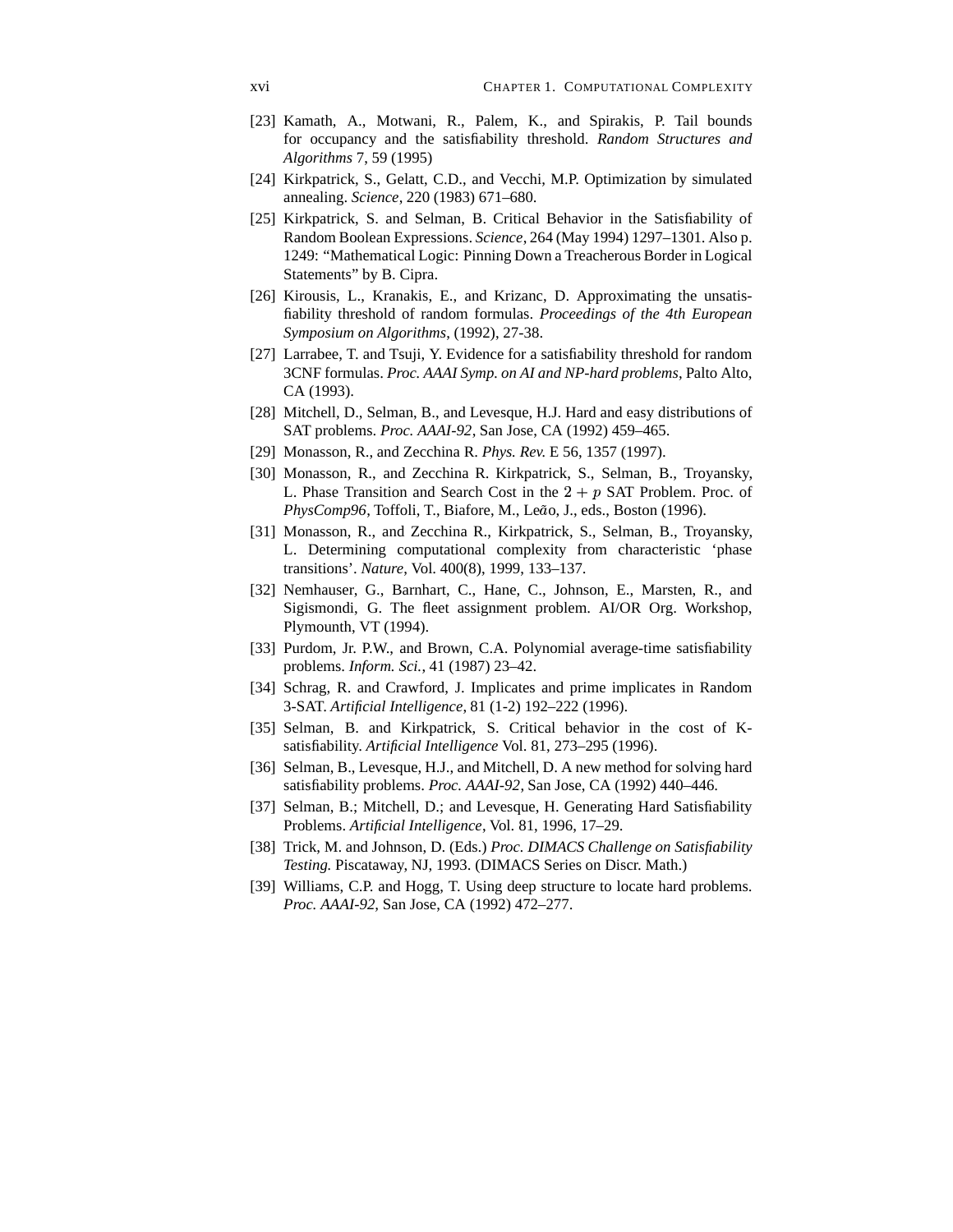- [23] Kamath, A., Motwani, R., Palem, K., and Spirakis, P. Tail bounds for occupancy and the satisfiability threshold. *Random Structures and Algorithms* 7, 59 (1995)
- [24] Kirkpatrick, S., Gelatt, C.D., and Vecchi, M.P. Optimization by simulated annealing. *Science*, 220 (1983) 671–680.
- [25] Kirkpatrick, S. and Selman, B. Critical Behavior in the Satisfiability of Random Boolean Expressions. *Science*, 264 (May 1994) 1297–1301. Also p. 1249: "Mathematical Logic: Pinning Down a Treacherous Border in Logical Statements" by B. Cipra.
- [26] Kirousis, L., Kranakis, E., and Krizanc, D. Approximating the unsatisfiability threshold of random formulas. *Proceedings of the 4th European Symposium on Algorithms*, (1992), 27-38.
- [27] Larrabee, T. and Tsuji, Y. Evidence for a satisfiability threshold for random 3CNF formulas. *Proc. AAAI Symp. on AI and NP-hard problems*, Palto Alto, CA (1993).
- [28] Mitchell, D., Selman, B., and Levesque, H.J. Hard and easy distributions of SAT problems. *Proc. AAAI-92*, San Jose, CA (1992) 459–465.
- [29] Monasson, R., and Zecchina R. *Phys. Rev.* E 56, 1357 (1997).
- [30] Monasson, R., and Zecchina R. Kirkpatrick, S., Selman, B., Troyansky, L. Phase Transition and Search Cost in the  $2 + p$  SAT Problem. Proc. of PhysComp96, Toffoli, T., Biafore, M., Leão, J., eds., Boston (1996).
- [31] Monasson, R., and Zecchina R., Kirkpatrick, S., Selman, B., Troyansky, L. Determining computational complexity from characteristic 'phase transitions'. *Nature*, Vol. 400(8), 1999, 133–137.
- [32] Nemhauser, G., Barnhart, C., Hane, C., Johnson, E., Marsten, R., and Sigismondi, G. The fleet assignment problem. AI/OR Org. Workshop, Plymounth, VT (1994).
- [33] Purdom, Jr. P.W., and Brown, C.A. Polynomial average-time satisfiability problems. *Inform. Sci.*, 41 (1987) 23–42.
- [34] Schrag, R. and Crawford, J. Implicates and prime implicates in Random 3-SAT. *Artificial Intelligence*, 81 (1-2) 192–222 (1996).
- [35] Selman, B. and Kirkpatrick, S. Critical behavior in the cost of Ksatisfiability. *Artificial Intelligence* Vol. 81, 273–295 (1996).
- [36] Selman, B., Levesque, H.J., and Mitchell, D. A new method for solving hard satisfiability problems. *Proc. AAAI-92*, San Jose, CA (1992) 440–446.
- [37] Selman, B.; Mitchell, D.; and Levesque, H. Generating Hard Satisfiability Problems. *Artificial Intelligence*, Vol. 81, 1996, 17–29.
- [38] Trick, M. and Johnson, D. (Eds.) *Proc. DIMACS Challenge on Satisfiability Testing.* Piscataway, NJ, 1993. (DIMACS Series on Discr. Math.)
- [39] Williams, C.P. and Hogg, T. Using deep structure to locate hard problems. *Proc. AAAI-92,* San Jose, CA (1992) 472–277.